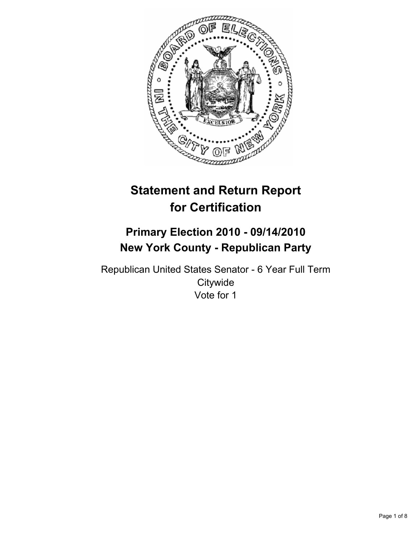

# **Statement and Return Report for Certification**

# **Primary Election 2010 - 09/14/2010 New York County - Republican Party**

Republican United States Senator - 6 Year Full Term **Citywide** Vote for 1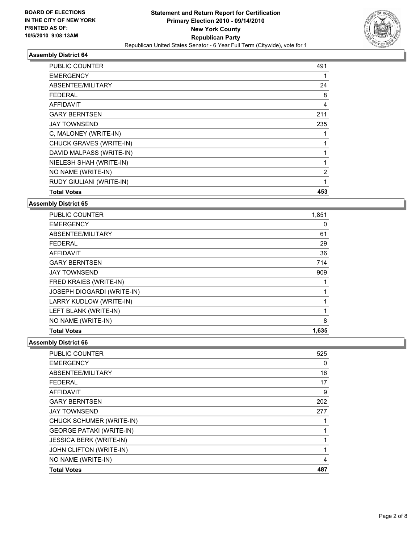

| PUBLIC COUNTER           | 491 |
|--------------------------|-----|
| <b>EMERGENCY</b>         | 1   |
| ABSENTEE/MILITARY        | 24  |
| <b>FEDERAL</b>           | 8   |
| <b>AFFIDAVIT</b>         | 4   |
| <b>GARY BERNTSEN</b>     | 211 |
| <b>JAY TOWNSEND</b>      | 235 |
| C, MALONEY (WRITE-IN)    | 1   |
| CHUCK GRAVES (WRITE-IN)  | 1   |
| DAVID MALPASS (WRITE-IN) | 1   |
| NIELESH SHAH (WRITE-IN)  | 1   |
| NO NAME (WRITE-IN)       | 2   |
| RUDY GIULIANI (WRITE-IN) | 1   |
| <b>Total Votes</b>       | 453 |

**Assembly District 65**

| <b>PUBLIC COUNTER</b>             | 1,851 |
|-----------------------------------|-------|
| <b>EMERGENCY</b>                  | 0     |
| ABSENTEE/MILITARY                 | 61    |
| <b>FEDERAL</b>                    | 29    |
| <b>AFFIDAVIT</b>                  | 36    |
| <b>GARY BERNTSEN</b>              | 714   |
| <b>JAY TOWNSEND</b>               | 909   |
| FRED KRAIES (WRITE-IN)            |       |
| <b>JOSEPH DIOGARDI (WRITE-IN)</b> |       |
| LARRY KUDLOW (WRITE-IN)           |       |
| LEFT BLANK (WRITE-IN)             |       |
| NO NAME (WRITE-IN)                | 8     |
| <b>Total Votes</b>                | 1,635 |

| <b>PUBLIC COUNTER</b>           | 525 |
|---------------------------------|-----|
| <b>EMERGENCY</b>                | 0   |
| ABSENTEE/MILITARY               | 16  |
| <b>FEDERAL</b>                  | 17  |
| AFFIDAVIT                       | 9   |
| <b>GARY BERNTSEN</b>            | 202 |
| <b>JAY TOWNSEND</b>             | 277 |
| CHUCK SCHUMER (WRITE-IN)        |     |
| <b>GEORGE PATAKI (WRITE-IN)</b> |     |
| <b>JESSICA BERK (WRITE-IN)</b>  |     |
| JOHN CLIFTON (WRITE-IN)         | 1   |
| NO NAME (WRITE-IN)              | 4   |
| <b>Total Votes</b>              | 487 |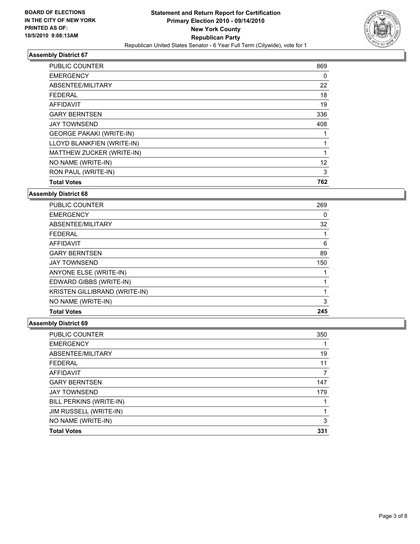

| <b>PUBLIC COUNTER</b>           | 869 |
|---------------------------------|-----|
| <b>EMERGENCY</b>                | 0   |
| ABSENTEE/MILITARY               | 22  |
| <b>FEDERAL</b>                  | 18  |
| <b>AFFIDAVIT</b>                | 19  |
| <b>GARY BERNTSEN</b>            | 336 |
| <b>JAY TOWNSEND</b>             | 408 |
| <b>GEORGE PAKAKI (WRITE-IN)</b> |     |
| LLOYD BLANKFIEN (WRITE-IN)      |     |
| MATTHEW ZUCKER (WRITE-IN)       | 1   |
| NO NAME (WRITE-IN)              | 12  |
| RON PAUL (WRITE-IN)             | 3   |
| <b>Total Votes</b>              | 762 |

#### **Assembly District 68**

| PUBLIC COUNTER                | 269 |
|-------------------------------|-----|
| <b>EMERGENCY</b>              | 0   |
| ABSENTEE/MILITARY             | 32  |
| <b>FEDERAL</b>                | 1   |
| <b>AFFIDAVIT</b>              | 6   |
| <b>GARY BERNTSEN</b>          | 89  |
| <b>JAY TOWNSEND</b>           | 150 |
| <b>ANYONE ELSE (WRITE-IN)</b> |     |
| EDWARD GIBBS (WRITE-IN)       |     |
| KRISTEN GILLIBRAND (WRITE-IN) |     |
| NO NAME (WRITE-IN)            | 3   |
| <b>Total Votes</b>            | 245 |

| <b>PUBLIC COUNTER</b>   | 350 |
|-------------------------|-----|
| <b>EMERGENCY</b>        |     |
| ABSENTEE/MILITARY       | 19  |
| <b>FEDERAL</b>          | 11  |
| <b>AFFIDAVIT</b>        |     |
| <b>GARY BERNTSEN</b>    | 147 |
| <b>JAY TOWNSEND</b>     | 179 |
| BILL PERKINS (WRITE-IN) |     |
| JIM RUSSELL (WRITE-IN)  |     |
| NO NAME (WRITE-IN)      | 3   |
| <b>Total Votes</b>      | 331 |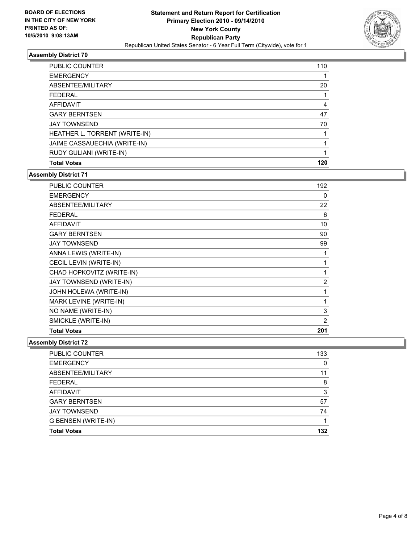

| <b>PUBLIC COUNTER</b>         | 110 |
|-------------------------------|-----|
| <b>EMERGENCY</b>              |     |
| ABSENTEE/MILITARY             | 20  |
| FEDERAL                       |     |
| AFFIDAVIT                     | 4   |
| <b>GARY BERNTSEN</b>          | 47  |
| <b>JAY TOWNSEND</b>           | 70  |
| HEATHER L. TORRENT (WRITE-IN) |     |
| JAIME CASSAUECHIA (WRITE-IN)  |     |
| RUDY GULIANI (WRITE-IN)       |     |
| <b>Total Votes</b>            | 120 |

# **Assembly District 71**

| <b>PUBLIC COUNTER</b>     | 192            |
|---------------------------|----------------|
| <b>EMERGENCY</b>          | 0              |
| ABSENTEE/MILITARY         | 22             |
| <b>FEDERAL</b>            | 6              |
| <b>AFFIDAVIT</b>          | 10             |
| <b>GARY BERNTSEN</b>      | 90             |
| <b>JAY TOWNSEND</b>       | 99             |
| ANNA LEWIS (WRITE-IN)     | 1              |
| CECIL LEVIN (WRITE-IN)    | 1              |
| CHAD HOPKOVITZ (WRITE-IN) | 1              |
| JAY TOWNSEND (WRITE-IN)   | $\overline{2}$ |
| JOHN HOLEWA (WRITE-IN)    | 1              |
| MARK LEVINE (WRITE-IN)    | 1              |
| NO NAME (WRITE-IN)        | 3              |
| SMICKLE (WRITE-IN)        | $\overline{2}$ |
| <b>Total Votes</b>        | 201            |

| PUBLIC COUNTER       | 133 |
|----------------------|-----|
| <b>EMERGENCY</b>     | 0   |
| ABSENTEE/MILITARY    | 11  |
| <b>FEDERAL</b>       | 8   |
| AFFIDAVIT            | 3   |
| <b>GARY BERNTSEN</b> | 57  |
| <b>JAY TOWNSEND</b>  | 74  |
| G BENSEN (WRITE-IN)  |     |
| <b>Total Votes</b>   | 132 |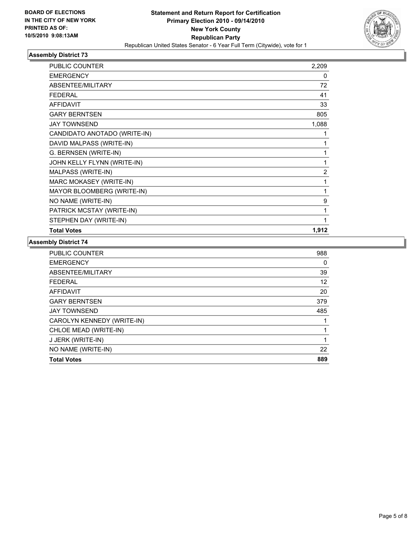

| PUBLIC COUNTER               | 2,209 |
|------------------------------|-------|
| <b>EMERGENCY</b>             | 0     |
| ABSENTEE/MILITARY            | 72    |
| <b>FEDERAL</b>               | 41    |
| <b>AFFIDAVIT</b>             | 33    |
| <b>GARY BERNTSEN</b>         | 805   |
| <b>JAY TOWNSEND</b>          | 1,088 |
| CANDIDATO ANOTADO (WRITE-IN) |       |
| DAVID MALPASS (WRITE-IN)     | 1     |
| G. BERNSEN (WRITE-IN)        | 1     |
| JOHN KELLY FLYNN (WRITE-IN)  | 1     |
| MALPASS (WRITE-IN)           | 2     |
| MARC MOKASEY (WRITE-IN)      | 1     |
| MAYOR BLOOMBERG (WRITE-IN)   | 1     |
| NO NAME (WRITE-IN)           | 9     |
| PATRICK MCSTAY (WRITE-IN)    | 1     |
| STEPHEN DAY (WRITE-IN)       | 1     |
| <b>Total Votes</b>           | 1,912 |

| <b>PUBLIC COUNTER</b>      | 988 |
|----------------------------|-----|
| <b>EMERGENCY</b>           | 0   |
| ABSENTEE/MILITARY          | 39  |
| <b>FEDERAL</b>             | 12  |
| <b>AFFIDAVIT</b>           | 20  |
| <b>GARY BERNTSEN</b>       | 379 |
| <b>JAY TOWNSEND</b>        | 485 |
| CAROLYN KENNEDY (WRITE-IN) |     |
| CHLOE MEAD (WRITE-IN)      | 1   |
| J JERK (WRITE-IN)          | 1   |
| NO NAME (WRITE-IN)         | 22  |
| <b>Total Votes</b>         | 889 |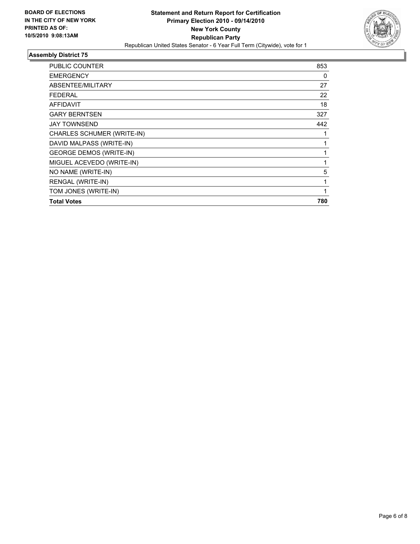

| PUBLIC COUNTER                 | 853 |
|--------------------------------|-----|
| <b>EMERGENCY</b>               | 0   |
| ABSENTEE/MILITARY              | 27  |
| <b>FEDERAL</b>                 | 22  |
| <b>AFFIDAVIT</b>               | 18  |
| <b>GARY BERNTSEN</b>           | 327 |
| <b>JAY TOWNSEND</b>            | 442 |
| CHARLES SCHUMER (WRITE-IN)     | 1   |
| DAVID MALPASS (WRITE-IN)       | 1   |
| <b>GEORGE DEMOS (WRITE-IN)</b> | 1   |
| MIGUEL ACEVEDO (WRITE-IN)      | 1   |
| NO NAME (WRITE-IN)             | 5   |
| RENGAL (WRITE-IN)              | 1   |
| TOM JONES (WRITE-IN)           | 1   |
| <b>Total Votes</b>             | 780 |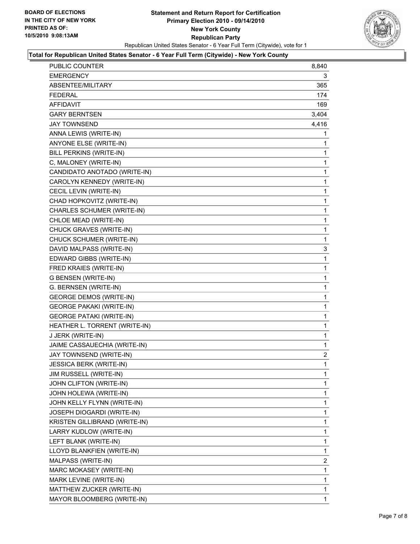

#### **Total for Republican United States Senator - 6 Year Full Term (Citywide) - New York County**

| PUBLIC COUNTER                  | 8,840 |
|---------------------------------|-------|
| EMERGENCY                       | 3     |
| ABSENTEE/MILITARY               | 365   |
| <b>FEDERAL</b>                  | 174   |
| AFFIDAVIT                       | 169   |
| <b>GARY BERNTSEN</b>            | 3,404 |
| <b>JAY TOWNSEND</b>             | 4,416 |
| ANNA LEWIS (WRITE-IN)           | 1     |
| <b>ANYONE ELSE (WRITE-IN)</b>   | 1     |
| BILL PERKINS (WRITE-IN)         | 1     |
| C, MALONEY (WRITE-IN)           | 1     |
| CANDIDATO ANOTADO (WRITE-IN)    | 1     |
| CAROLYN KENNEDY (WRITE-IN)      | 1     |
| CECIL LEVIN (WRITE-IN)          | 1     |
| CHAD HOPKOVITZ (WRITE-IN)       | 1     |
| CHARLES SCHUMER (WRITE-IN)      | 1     |
| CHLOE MEAD (WRITE-IN)           | 1     |
| CHUCK GRAVES (WRITE-IN)         | 1     |
| CHUCK SCHUMER (WRITE-IN)        | 1     |
| DAVID MALPASS (WRITE-IN)        | 3     |
| EDWARD GIBBS (WRITE-IN)         | 1     |
| FRED KRAIES (WRITE-IN)          | 1     |
| G BENSEN (WRITE-IN)             | 1     |
| G. BERNSEN (WRITE-IN)           | 1     |
| <b>GEORGE DEMOS (WRITE-IN)</b>  | 1     |
| <b>GEORGE PAKAKI (WRITE-IN)</b> | 1     |
| <b>GEORGE PATAKI (WRITE-IN)</b> | 1     |
| HEATHER L. TORRENT (WRITE-IN)   | 1     |
| J JERK (WRITE-IN)               | 1     |
| JAIME CASSAUECHIA (WRITE-IN)    | 1     |
| JAY TOWNSEND (WRITE-IN)         | 2     |
| JESSICA BERK (WRITE-IN)         | 1     |
| JIM RUSSELL (WRITE-IN)          | 1     |
| JOHN CLIFTON (WRITE-IN)         | 1     |
| JOHN HOLEWA (WRITE-IN)          | 1     |
| JOHN KELLY FLYNN (WRITE-IN)     | 1     |
| JOSEPH DIOGARDI (WRITE-IN)      | 1     |
| KRISTEN GILLIBRAND (WRITE-IN)   | 1     |
| LARRY KUDLOW (WRITE-IN)         | 1     |
| LEFT BLANK (WRITE-IN)           | 1     |
| LLOYD BLANKFIEN (WRITE-IN)      | 1     |
| MALPASS (WRITE-IN)              | 2     |
| MARC MOKASEY (WRITE-IN)         | 1     |
| MARK LEVINE (WRITE-IN)          | 1     |
| MATTHEW ZUCKER (WRITE-IN)       | 1     |
| MAYOR BLOOMBERG (WRITE-IN)      | 1     |